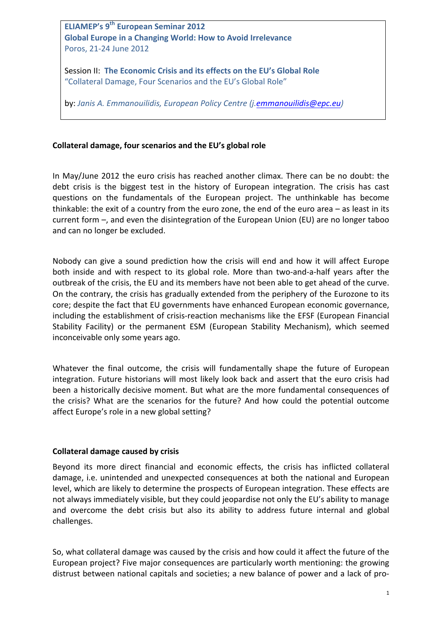**ELIAMEP's** 9<sup>th</sup> European Seminar 2012 **Global Europe in a Changing World: How to Avoid Irrelevance** Poros, 21-24 June 2012

Session II: The Economic Crisis and its effects on the EU's Global Role "Collateral Damage, Four Scenarios and the EU's Global Role"

by: Janis A. Emmanouilidis, European Policy Centre *(j.emmanouilidis@epc.eu)* 

# Collateral damage, four scenarios and the EU's global role

In May/June 2012 the euro crisis has reached another climax. There can be no doubt: the debt crisis is the biggest test in the history of European integration. The crisis has cast questions on the fundamentals of the European project. The unthinkable has become thinkable: the exit of a country from the euro zone, the end of the euro area  $-$  as least in its current form  $-$ , and even the disintegration of the European Union (EU) are no longer taboo and can no longer be excluded.

Nobody can give a sound prediction how the crisis will end and how it will affect Europe both inside and with respect to its global role. More than two-and-a-half years after the outbreak of the crisis, the EU and its members have not been able to get ahead of the curve. On the contrary, the crisis has gradually extended from the periphery of the Eurozone to its core; despite the fact that EU governments have enhanced European economic governance, including the establishment of crisis-reaction mechanisms like the EFSF (European Financial Stability Facility) or the permanent ESM (European Stability Mechanism), which seemed inconceivable only some years ago.

Whatever the final outcome, the crisis will fundamentally shape the future of European integration. Future historians will most likely look back and assert that the euro crisis had been a historically decisive moment. But what are the more fundamental consequences of the crisis? What are the scenarios for the future? And how could the potential outcome affect Europe's role in a new global setting?

## **Collateral damage caused by crisis**

Beyond its more direct financial and economic effects, the crisis has inflicted collateral damage, i.e. unintended and unexpected consequences at both the national and European level, which are likely to determine the prospects of European integration. These effects are not always immediately visible, but they could jeopardise not only the EU's ability to manage and overcome the debt crisis but also its ability to address future internal and global challenges.

So, what collateral damage was caused by the crisis and how could it affect the future of the European project? Five major consequences are particularly worth mentioning: the growing distrust between national capitals and societies; a new balance of power and a lack of pro-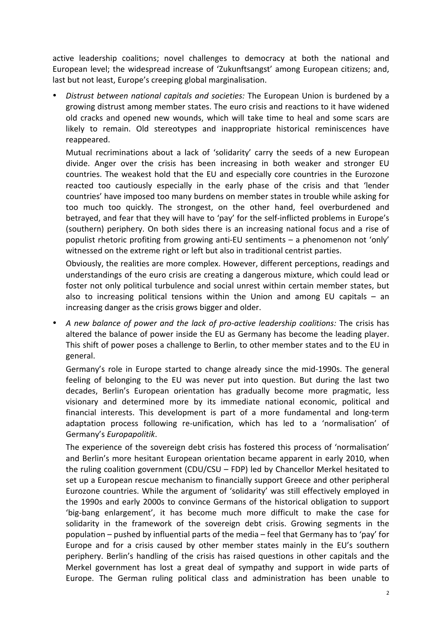active leadership coalitions; novel challenges to democracy at both the national and European level; the widespread increase of 'Zukunftsangst' among European citizens; and, last but not least, Europe's creeping global marginalisation.

Distrust between national capitals and societies: The European Union is burdened by a growing distrust among member states. The euro crisis and reactions to it have widened old cracks and opened new wounds, which will take time to heal and some scars are likely to remain. Old stereotypes and inappropriate historical reminiscences have reappeared. 

Mutual recriminations about a lack of 'solidarity' carry the seeds of a new European divide. Anger over the crisis has been increasing in both weaker and stronger EU countries. The weakest hold that the EU and especially core countries in the Eurozone reacted too cautiously especially in the early phase of the crisis and that 'lender countries' have imposed too many burdens on member states in trouble while asking for too much too quickly. The strongest, on the other hand, feel overburdened and betrayed, and fear that they will have to 'pay' for the self-inflicted problems in Europe's (southern) periphery. On both sides there is an increasing national focus and a rise of populist rhetoric profiting from growing anti-EU sentiments  $-$  a phenomenon not 'only' witnessed on the extreme right or left but also in traditional centrist parties.

Obviously, the realities are more complex. However, different perceptions, readings and understandings of the euro crisis are creating a dangerous mixture, which could lead or foster not only political turbulence and social unrest within certain member states, but also to increasing political tensions within the Union and among EU capitals  $-$  an increasing danger as the crisis grows bigger and older.

A new balance of power and the lack of pro-active leadership coalitions: The crisis has altered the balance of power inside the EU as Germany has become the leading player. This shift of power poses a challenge to Berlin, to other member states and to the EU in general. 

Germany's role in Europe started to change already since the mid-1990s. The general feeling of belonging to the EU was never put into question. But during the last two decades, Berlin's European orientation has gradually become more pragmatic, less visionary and determined more by its immediate national economic, political and financial interests. This development is part of a more fundamental and long-term adaptation process following re-unification, which has led to a 'normalisation' of Germany's *Europapolitik*. 

The experience of the sovereign debt crisis has fostered this process of 'normalisation' and Berlin's more hesitant European orientation became apparent in early 2010, when the ruling coalition government  $(CDU/CSU - FDP)$  led by Chancellor Merkel hesitated to set up a European rescue mechanism to financially support Greece and other peripheral Eurozone countries. While the argument of 'solidarity' was still effectively employed in the 1990s and early 2000s to convince Germans of the historical obligation to support 'big-bang enlargement', it has become much more difficult to make the case for solidarity in the framework of the sovereign debt crisis. Growing segments in the population – pushed by influential parts of the media – feel that Germany has to 'pay' for Europe and for a crisis caused by other member states mainly in the EU's southern periphery. Berlin's handling of the crisis has raised questions in other capitals and the Merkel government has lost a great deal of sympathy and support in wide parts of Europe. The German ruling political class and administration has been unable to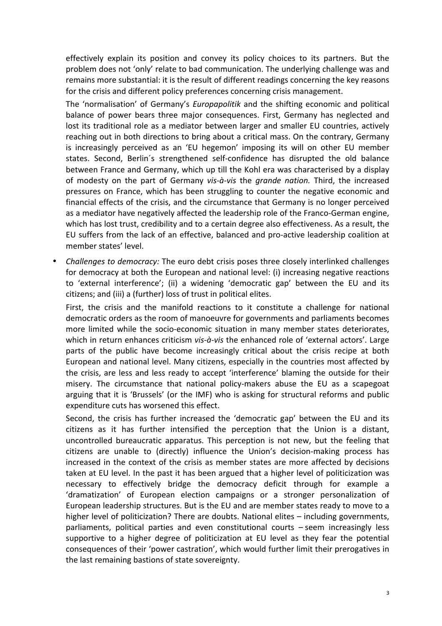effectively explain its position and convey its policy choices to its partners. But the problem does not 'only' relate to bad communication. The underlying challenge was and remains more substantial: it is the result of different readings concerning the key reasons for the crisis and different policy preferences concerning crisis management.

The 'normalisation' of Germany's *Europapolitik* and the shifting economic and political balance of power bears three major consequences. First, Germany has neglected and lost its traditional role as a mediator between larger and smaller EU countries, actively reaching out in both directions to bring about a critical mass. On the contrary, Germany is increasingly perceived as an 'EU hegemon' imposing its will on other EU member states. Second, Berlin's strengthened self-confidence has disrupted the old balance between France and Germany, which up till the Kohl era was characterised by a display of modesty on the part of Germany *vis-à-vis* the *grande nation*. Third, the increased pressures on France, which has been struggling to counter the negative economic and financial effects of the crisis, and the circumstance that Germany is no longer perceived as a mediator have negatively affected the leadership role of the Franco-German engine, which has lost trust, credibility and to a certain degree also effectiveness. As a result, the EU suffers from the lack of an effective, balanced and pro-active leadership coalition at member states' level.

• *Challenges to democracy:* The euro debt crisis poses three closely interlinked challenges for democracy at both the European and national level: (i) increasing negative reactions to 'external interference'; (ii) a widening 'democratic gap' between the EU and its citizens; and (iii) a (further) loss of trust in political elites.

First, the crisis and the manifold reactions to it constitute a challenge for national democratic orders as the room of manoeuvre for governments and parliaments becomes more limited while the socio-economic situation in many member states deteriorates, which in return enhances criticism *vis-à-vis* the enhanced role of 'external actors'. Large parts of the public have become increasingly critical about the crisis recipe at both European and national level. Many citizens, especially in the countries most affected by the crisis, are less and less ready to accept 'interference' blaming the outside for their misery. The circumstance that national policy-makers abuse the EU as a scapegoat arguing that it is 'Brussels' (or the IMF) who is asking for structural reforms and public expenditure cuts has worsened this effect.

Second, the crisis has further increased the 'democratic gap' between the EU and its citizens as it has further intensified the perception that the Union is a distant, uncontrolled bureaucratic apparatus. This perception is not new, but the feeling that citizens are unable to (directly) influence the Union's decision-making process has increased in the context of the crisis as member states are more affected by decisions taken at EU level. In the past it has been argued that a higher level of politicization was necessary to effectively bridge the democracy deficit through for example a 'dramatization' of European election campaigns or a stronger personalization of European leadership structures. But is the EU and are member states ready to move to a higher level of politicization? There are doubts. National elites  $-$  including governments, parliaments, political parties and even constitutional courts - seem increasingly less supportive to a higher degree of politicization at EU level as they fear the potential consequences of their 'power castration', which would further limit their prerogatives in the last remaining bastions of state sovereignty.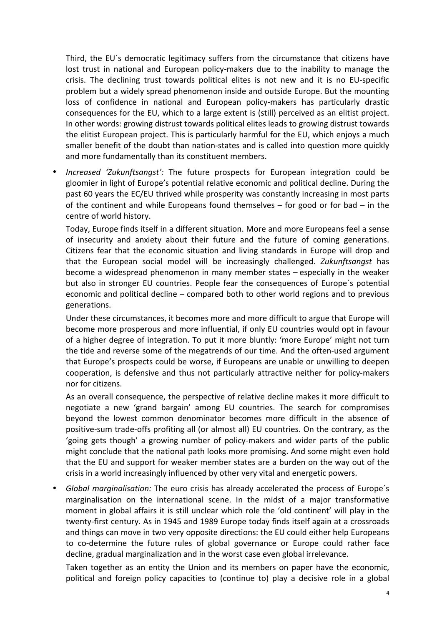Third, the EU's democratic legitimacy suffers from the circumstance that citizens have lost trust in national and European policy-makers due to the inability to manage the crisis. The declining trust towards political elites is not new and it is no EU-specific problem but a widely spread phenomenon inside and outside Europe. But the mounting loss of confidence in national and European policy-makers has particularly drastic consequences for the EU, which to a large extent is (still) perceived as an elitist project. In other words: growing distrust towards political elites leads to growing distrust towards the elitist European project. This is particularly harmful for the EU, which enjoys a much smaller benefit of the doubt than nation-states and is called into question more quickly and more fundamentally than its constituent members.

*Increased 'Zukunftsangst':* The future prospects for European integration could be gloomier in light of Europe's potential relative economic and political decline. During the past 60 years the EC/EU thrived while prosperity was constantly increasing in most parts of the continent and while Europeans found themselves  $-$  for good or for bad  $-$  in the centre of world history.

Today, Europe finds itself in a different situation. More and more Europeans feel a sense of insecurity and anxiety about their future and the future of coming generations. Citizens fear that the economic situation and living standards in Europe will drop and that the European social model will be increasingly challenged. *Zukunftsangst* has become a widespread phenomenon in many member states – especially in the weaker but also in stronger EU countries. People fear the consequences of Europe's potential economic and political decline  $-$  compared both to other world regions and to previous generations.

Under these circumstances, it becomes more and more difficult to argue that Europe will become more prosperous and more influential, if only EU countries would opt in favour of a higher degree of integration. To put it more bluntly: 'more Europe' might not turn the tide and reverse some of the megatrends of our time. And the often-used argument that Europe's prospects could be worse, if Europeans are unable or unwilling to deepen cooperation, is defensive and thus not particularly attractive neither for policy-makers nor for citizens.

As an overall consequence, the perspective of relative decline makes it more difficult to negotiate a new 'grand bargain' among EU countries. The search for compromises beyond the lowest common denominator becomes more difficult in the absence of positive-sum trade-offs profiting all (or almost all) EU countries. On the contrary, as the 'going gets though' a growing number of policy-makers and wider parts of the public might conclude that the national path looks more promising. And some might even hold that the EU and support for weaker member states are a burden on the way out of the crisis in a world increasingly influenced by other very vital and energetic powers.

*Global marginalisation:* The euro crisis has already accelerated the process of Europe's marginalisation on the international scene. In the midst of a major transformative moment in global affairs it is still unclear which role the 'old continent' will play in the twenty-first century. As in 1945 and 1989 Europe today finds itself again at a crossroads and things can move in two very opposite directions: the EU could either help Europeans to co-determine the future rules of global governance or Europe could rather face decline, gradual marginalization and in the worst case even global irrelevance.

Taken together as an entity the Union and its members on paper have the economic, political and foreign policy capacities to (continue to) play a decisive role in a global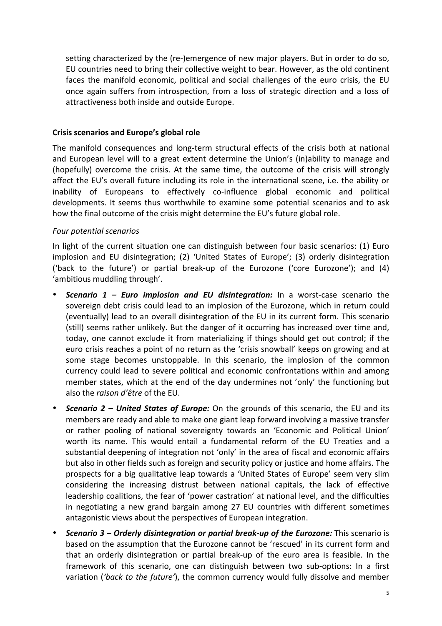setting characterized by the (re-)emergence of new major players. But in order to do so, EU countries need to bring their collective weight to bear. However, as the old continent faces the manifold economic, political and social challenges of the euro crisis, the EU once again suffers from introspection, from a loss of strategic direction and a loss of attractiveness both inside and outside Europe.

# **Crisis scenarios and Europe's global role**

The manifold consequences and long-term structural effects of the crisis both at national and European level will to a great extent determine the Union's (in)ability to manage and (hopefully) overcome the crisis. At the same time, the outcome of the crisis will strongly affect the EU's overall future including its role in the international scene, i.e. the ability or inability of Europeans to effectively co-influence global economic and political developments. It seems thus worthwhile to examine some potential scenarios and to ask how the final outcome of the crisis might determine the EU's future global role.

# *Four potential scenarios*

In light of the current situation one can distinguish between four basic scenarios: (1) Euro implosion and EU disintegration; (2) 'United States of Europe'; (3) orderly disintegration ('back to the future') or partial break-up of the Eurozone ('core Eurozone'); and (4) 'ambitious muddling through'.

- **Scenario 1 Euro implosion and EU disintegration:** In a worst-case scenario the sovereign debt crisis could lead to an implosion of the Eurozone, which in return could (eventually) lead to an overall disintegration of the EU in its current form. This scenario (still) seems rather unlikely. But the danger of it occurring has increased over time and, today, one cannot exclude it from materializing if things should get out control; if the euro crisis reaches a point of no return as the 'crisis snowball' keeps on growing and at some stage becomes unstoppable. In this scenario, the implosion of the common currency could lead to severe political and economic confrontations within and among member states, which at the end of the day undermines not 'only' the functioning but also the *raison* d'être of the EU.
- **Scenario 2 United States of Europe:** On the grounds of this scenario, the EU and its members are ready and able to make one giant leap forward involving a massive transfer or rather pooling of national sovereignty towards an 'Economic and Political Union' worth its name. This would entail a fundamental reform of the EU Treaties and a substantial deepening of integration not 'only' in the area of fiscal and economic affairs but also in other fields such as foreign and security policy or justice and home affairs. The prospects for a big qualitative leap towards a 'United States of Europe' seem very slim considering the increasing distrust between national capitals, the lack of effective leadership coalitions, the fear of 'power castration' at national level, and the difficulties in negotiating a new grand bargain among 27 EU countries with different sometimes antagonistic views about the perspectives of European integration.
- **Scenario 3 Orderly disintegration or partial break-up of the Eurozone:** This scenario is based on the assumption that the Eurozone cannot be 'rescued' in its current form and that an orderly disintegration or partial break-up of the euro area is feasible. In the framework of this scenario, one can distinguish between two sub-options: In a first variation ('back to the future'), the common currency would fully dissolve and member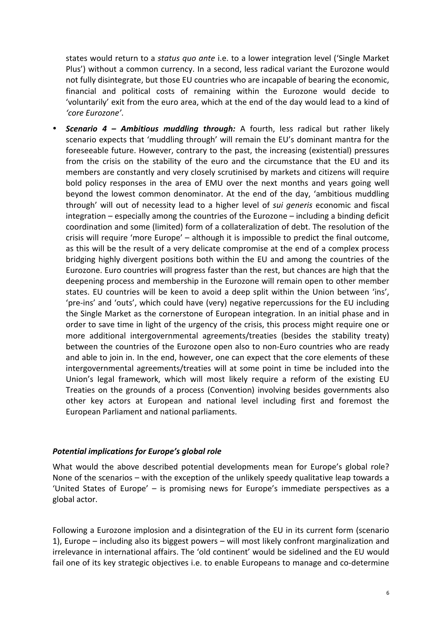states would return to a *status quo ante* i.e. to a lower integration level ('Single Market Plus') without a common currency. In a second, less radical variant the Eurozone would not fully disintegrate, but those EU countries who are incapable of bearing the economic, financial and political costs of remaining within the Eurozone would decide to 'voluntarily' exit from the euro area, which at the end of the day would lead to a kind of *'core Eurozone'*.

**Scenario 4 – Ambitious muddling through:** A fourth, less radical but rather likely scenario expects that 'muddling through' will remain the EU's dominant mantra for the foreseeable future. However, contrary to the past, the increasing (existential) pressures from the crisis on the stability of the euro and the circumstance that the EU and its members are constantly and very closely scrutinised by markets and citizens will require bold policy responses in the area of EMU over the next months and years going well beyond the lowest common denominator. At the end of the day, 'ambitious muddling through' will out of necessity lead to a higher level of *sui generis* economic and fiscal  $interactions - especially among the countries of the Eurozone - including a binding deficit$ coordination and some (limited) form of a collateralization of debt. The resolution of the crisis will require 'more Europe'  $-$  although it is impossible to predict the final outcome, as this will be the result of a very delicate compromise at the end of a complex process bridging highly divergent positions both within the EU and among the countries of the Eurozone. Euro countries will progress faster than the rest, but chances are high that the deepening process and membership in the Eurozone will remain open to other member states. EU countries will be keen to avoid a deep split within the Union between 'ins', 'pre-ins' and 'outs', which could have (very) negative repercussions for the EU including the Single Market as the cornerstone of European integration. In an initial phase and in order to save time in light of the urgency of the crisis, this process might require one or more additional intergovernmental agreements/treaties (besides the stability treaty) between the countries of the Eurozone open also to non-Euro countries who are ready and able to join in. In the end, however, one can expect that the core elements of these intergovernmental agreements/treaties will at some point in time be included into the Union's legal framework, which will most likely require a reform of the existing EU Treaties on the grounds of a process (Convention) involving besides governments also other key actors at European and national level including first and foremost the European Parliament and national parliaments.

## **Potential implications for Europe's global role**

What would the above described potential developments mean for Europe's global role? None of the scenarios  $-$  with the exception of the unlikely speedy qualitative leap towards a 'United States of Europe' - is promising news for Europe's immediate perspectives as a global actor.

Following a Eurozone implosion and a disintegration of the EU in its current form (scenario 1), Europe  $-$  including also its biggest powers  $-$  will most likely confront marginalization and irrelevance in international affairs. The 'old continent' would be sidelined and the EU would fail one of its key strategic objectives i.e. to enable Europeans to manage and co-determine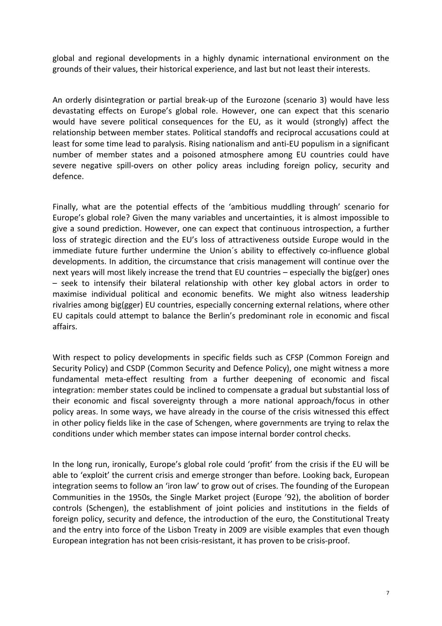global and regional developments in a highly dynamic international environment on the grounds of their values, their historical experience, and last but not least their interests.

An orderly disintegration or partial break-up of the Eurozone (scenario 3) would have less devastating effects on Europe's global role. However, one can expect that this scenario would have severe political consequences for the EU, as it would (strongly) affect the relationship between member states. Political standoffs and reciprocal accusations could at least for some time lead to paralysis. Rising nationalism and anti-EU populism in a significant number of member states and a poisoned atmosphere among EU countries could have severe negative spill-overs on other policy areas including foreign policy, security and defence.

Finally, what are the potential effects of the 'ambitious muddling through' scenario for Europe's global role? Given the many variables and uncertainties, it is almost impossible to give a sound prediction. However, one can expect that continuous introspection, a further loss of strategic direction and the EU's loss of attractiveness outside Europe would in the immediate future further undermine the Union's ability to effectively co-influence global developments. In addition, the circumstance that crisis management will continue over the next years will most likely increase the trend that EU countries  $-$  especially the big(ger) ones  $-$  seek to intensify their bilateral relationship with other key global actors in order to maximise individual political and economic benefits. We might also witness leadership rivalries among big(gger) EU countries, especially concerning external relations, where other EU capitals could attempt to balance the Berlin's predominant role in economic and fiscal affairs.

With respect to policy developments in specific fields such as CFSP (Common Foreign and Security Policy) and CSDP (Common Security and Defence Policy), one might witness a more fundamental meta-effect resulting from a further deepening of economic and fiscal integration: member states could be inclined to compensate a gradual but substantial loss of their economic and fiscal sovereignty through a more national approach/focus in other policy areas. In some ways, we have already in the course of the crisis witnessed this effect in other policy fields like in the case of Schengen, where governments are trying to relax the conditions under which member states can impose internal border control checks.

In the long run, ironically, Europe's global role could 'profit' from the crisis if the EU will be able to 'exploit' the current crisis and emerge stronger than before. Looking back, European integration seems to follow an 'iron law' to grow out of crises. The founding of the European Communities in the 1950s, the Single Market project (Europe '92), the abolition of border controls (Schengen), the establishment of joint policies and institutions in the fields of foreign policy, security and defence, the introduction of the euro, the Constitutional Treaty and the entry into force of the Lisbon Treaty in 2009 are visible examples that even though European integration has not been crisis-resistant, it has proven to be crisis-proof.